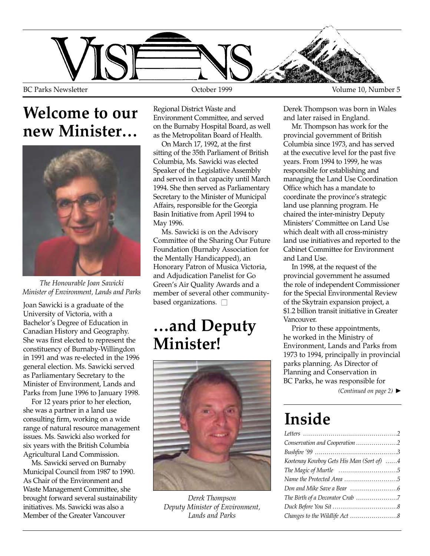

### **Welcome to our new Minister…**



*The Honourable Joan Sawicki Minister of Environment, Lands and Parks*

Joan Sawicki is a graduate of the University of Victoria, with a Bachelor's Degree of Education in Canadian History and Geography. She was first elected to represent the constituency of Burnaby-Willingdon in 1991 and was re-elected in the 1996 general election. Ms. Sawicki served as Parliamentary Secretary to the Minister of Environment, Lands and Parks from June 1996 to January 1998.

For 12 years prior to her election, she was a partner in a land use consulting firm, working on a wide range of natural resource management issues. Ms. Sawicki also worked for six years with the British Columbia Agricultural Land Commission.

Ms. Sawicki served on Burnaby Municipal Council from 1987 to 1990. As Chair of the Environment and Waste Management Committee, she brought forward several sustainability initiatives. Ms. Sawicki was also a Member of the Greater Vancouver

Regional District Waste and Environment Committee, and served on the Burnaby Hospital Board, as well as the Metropolitan Board of Health.

On March 17, 1992, at the first sitting of the 35th Parliament of British Columbia, Ms. Sawicki was elected Speaker of the Legislative Assembly and served in that capacity until March 1994. She then served as Parliamentary Secretary to the Minister of Municipal Affairs, responsible for the Georgia Basin Initiative from April 1994 to May 1996.

Ms. Sawicki is on the Advisory Committee of the Sharing Our Future Foundation (Burnaby Association for the Mentally Handicapped), an Honorary Patron of Musica Victoria, and Adjudication Panelist for Go Green's Air Quality Awards and a member of several other communitybased organizations.  $\square$ 

### **…and Deputy Minister!**



*Derek Thompson Deputy Minister of Environment, Lands and Parks*

Derek Thompson was born in Wales and later raised in England.

Mr. Thompson has work for the provincial government of British Columbia since 1973, and has served at the executive level for the past five years. From 1994 to 1999, he was responsible for establishing and managing the Land Use Coordination Office which has a mandate to coordinate the province's strategic land use planning program. He chaired the inter-ministry Deputy Ministers' Committee on Land Use which dealt with all cross-ministry land use initiatives and reported to the Cabinet Committee for Environment and Land Use.

In 1998, at the request of the provincial government he assumed the role of independent Commissioner for the Special Environmental Review of the Skytrain expansion project, a \$1.2 billion transit initiative in Greater Vancouver.

Prior to these appointments, he worked in the Ministry of Environment, Lands and Parks from 1973 to 1994, principally in provincial parks planning. As Director of Planning and Conservation in BC Parks, he was responsible for

*(Continued on page 2)* ▲

# **Inside**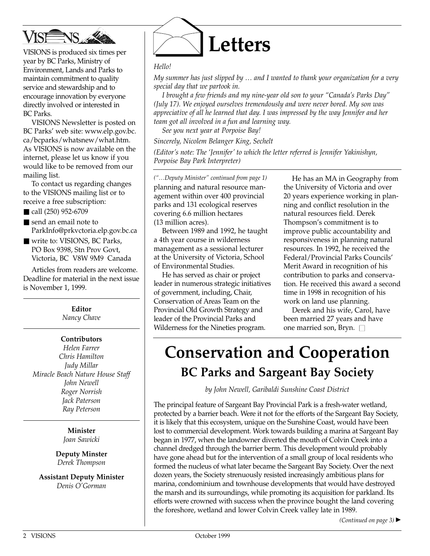

VISIONS is produced six times per year by BC Parks, Ministry of Environment, Lands and Parks to maintain commitment to quality service and stewardship and to encourage innovation by everyone directly involved or interested in BC Parks.

VISIONS Newsletter is posted on BC Parks' web site: www.elp.gov.bc. ca/bcparks/whatsnew/what.htm. As VISIONS is now available on the internet, please let us know if you would like to be removed from our mailing list.

To contact us regarding changes to the VISIONS mailing list or to receive a free subscription:

- call (250) 952-6709
- send an email note to ParkInfo@prkvctoria.elp.gov.bc.ca
- write to: VISIONS, BC Parks, PO Box 9398, Stn Prov Govt, Victoria, BC V8W 9M9 Canada

Articles from readers are welcome. Deadline for material in the next issue is November 1, 1999.

> **Editor** *Nancy Chave*

#### **Contributors**

*Helen Farrer Chris Hamilton Judy Millar Miracle Beach Nature House Staff John Newell Roger Norrish Jack Paterson Ray Peterson*

> **Minister** *Joan Sawicki*

**Deputy Minster** *Derek Thompson*

**Assistant Deputy Minister** *Denis O'Gorman*



#### *Hello!*

*My summer has just slipped by … and I wanted to thank your organization for a very special day that we partook in.*

*I brought a few friends and my nine-year old son to your "Canada's Parks Day" (July 17). We enjoyed ourselves tremendously and were never bored. My son was appreciative of all he learned that day. I was impressed by the way Jennifer and her team got all involved in a fun and learning way.*

*See you next year at Porpoise Bay!*

*Sincerely, Nicolem Belanger King, Sechelt*

*(Editor's note: The 'Jennifer' to which the letter referred is Jennifer Yakinishyn, Porpoise Bay Park Interpreter)*

*("…Deputy Minister" continued from page 1)* planning and natural resource management within over 400 provincial parks and 131 ecological reserves covering 6.6 million hectares (13 million acres).

Between 1989 and 1992, he taught a 4th year course in wilderness management as a sessional lecturer at the University of Victoria, School of Environmental Studies.

He has served as chair or project leader in numerous strategic initiatives of government, including, Chair, Conservation of Areas Team on the Provincial Old Growth Strategy and leader of the Provincial Parks and Wilderness for the Nineties program.

He has an MA in Geography from the University of Victoria and over 20 years experience working in planning and conflict resolution in the natural resources field. Derek Thompson's commitment is to improve public accountability and responsiveness in planning natural resources. In 1992, he received the Federal/Provincial Parks Councils' Merit Award in recognition of his contribution to parks and conservation. He received this award a second time in 1998 in recognition of his work on land use planning.

Derek and his wife, Carol, have been married 27 years and have one married son, Bryn.  $\square$ 

## **Conservation and Cooperation BC Parks and Sargeant Bay Society**

*by John Newell, Garibaldi Sunshine Coast District*

The principal feature of Sargeant Bay Provincial Park is a fresh-water wetland, protected by a barrier beach. Were it not for the efforts of the Sargeant Bay Society, it is likely that this ecosystem, unique on the Sunshine Coast, would have been lost to commercial development. Work towards building a marina at Sargeant Bay began in 1977, when the landowner diverted the mouth of Colvin Creek into a channel dredged through the barrier berm. This development would probably have gone ahead but for the intervention of a small group of local residents who formed the nucleus of what later became the Sargeant Bay Society. Over the next dozen years, the Society strenuously resisted increasingly ambitious plans for marina, condominium and townhouse developments that would have destroyed the marsh and its surroundings, while promoting its acquisition for parkland. Its efforts were crowned with success when the province bought the land covering the foreshore, wetland and lower Colvin Creek valley late in 1989.

*(Continued on page 3)* ▲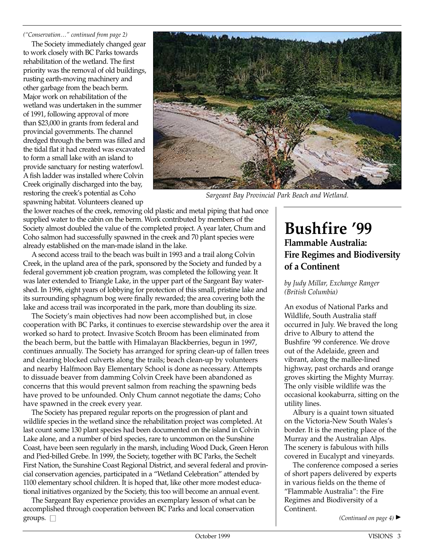*("Conservation…" continued from page 2)*

The Society immediately changed gear to work closely with BC Parks towards rehabilitation of the wetland. The first priority was the removal of old buildings, rusting earth-moving machinery and other garbage from the beach berm. Major work on rehabilitation of the wetland was undertaken in the summer of 1991, following approval of more than \$23,000 in grants from federal and provincial governments. The channel dredged through the berm was filled and the tidal flat it had created was excavated to form a small lake with an island to provide sanctuary for nesting waterfowl. A fish ladder was installed where Colvin Creek originally discharged into the bay, restoring the creek's potential as Coho spawning habitat. Volunteers cleaned up



*Sargeant Bay Provincial Park Beach and Wetland.*

the lower reaches of the creek, removing old plastic and metal piping that had once supplied water to the cabin on the berm. Work contributed by members of the Society almost doubled the value of the completed project. A year later, Chum and Coho salmon had successfully spawned in the creek and 70 plant species were already established on the man-made island in the lake.

A second access trail to the beach was built in 1993 and a trail along Colvin Creek, in the upland area of the park, sponsored by the Society and funded by a federal government job creation program, was completed the following year. It was later extended to Triangle Lake, in the upper part of the Sargeant Bay watershed. In 1996, eight years of lobbying for protection of this small, pristine lake and its surrounding sphagnum bog were finally rewarded; the area covering both the lake and access trail was incorporated in the park, more than doubling its size.

The Society's main objectives had now been accomplished but, in close cooperation with BC Parks, it continues to exercise stewardship over the area it worked so hard to protect. Invasive Scotch Broom has been eliminated from the beach berm, but the battle with Himalayan Blackberries, begun in 1997, continues annually. The Society has arranged for spring clean-up of fallen trees and clearing blocked culverts along the trails; beach clean-up by volunteers and nearby Halfmoon Bay Elementary School is done as necessary. Attempts to dissuade beaver from damming Colvin Creek have been abandoned as concerns that this would prevent salmon from reaching the spawning beds have proved to be unfounded. Only Chum cannot negotiate the dams; Coho have spawned in the creek every year.

The Society has prepared regular reports on the progression of plant and wildlife species in the wetland since the rehabilitation project was completed. At last count some 130 plant species had been documented on the island in Colvin Lake alone, and a number of bird species, rare to uncommon on the Sunshine Coast, have been seen regularly in the marsh, including Wood Duck, Green Heron and Pied-billed Grebe. In 1999, the Society, together with BC Parks, the Sechelt First Nation, the Sunshine Coast Regional District, and several federal and provincial conservation agencies, participated in a "Wetland Celebration" attended by 1100 elementary school children. It is hoped that, like other more modest educational initiatives organized by the Society, this too will become an annual event.

The Sargeant Bay experience provides an exemplary lesson of what can be accomplished through cooperation between BC Parks and local conservation groups.  $\square$ 

#### **Bushfire '99 Flammable Australia: Fire Regimes and Biodiversity of a Continent**

#### *by Judy Millar, Exchange Ranger (British Columbia)*

An exodus of National Parks and Wildlife, South Australia staff occurred in July. We braved the long drive to Albury to attend the Bushfire '99 conference. We drove out of the Adelaide, green and vibrant, along the mallee-lined highway, past orchards and orange groves skirting the Mighty Murray. The only visible wildlife was the occasional kookaburra, sitting on the utility lines.

Albury is a quaint town situated on the Victoria-New South Wales's border. It is the meeting place of the Murray and the Australian Alps. The scenery is fabulous with hills covered in Eucalypt and vineyards.

The conference composed a series of short papers delivered by experts in various fields on the theme of "Flammable Australia": the Fire Regimes and Biodiversity of a Continent.

*(Continued on page 4)* ▲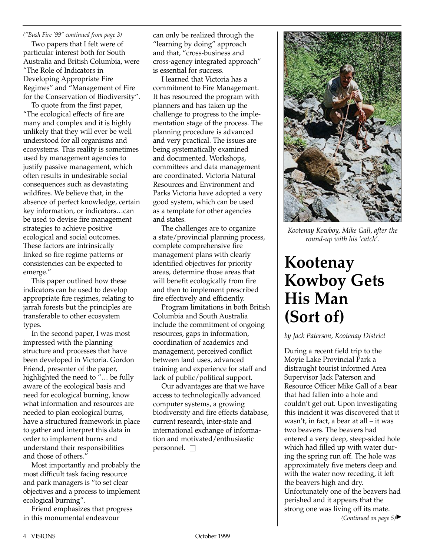*("Bush Fire '99" continued from page 3)*

Two papers that I felt were of particular interest both for South Australia and British Columbia, were "The Role of Indicators in Developing Appropriate Fire Regimes" and "Management of Fire for the Conservation of Biodiversity".

To quote from the first paper, "The ecological effects of fire are many and complex and it is highly unlikely that they will ever be well understood for all organisms and ecosystems. This reality is sometimes used by management agencies to justify passive management, which often results in undesirable social consequences such as devastating wildfires. We believe that, in the absence of perfect knowledge, certain key information, or indicators…can be used to devise fire management strategies to achieve positive ecological and social outcomes. These factors are intrinsically linked so fire regime patterns or consistencies can be expected to emerge."

This paper outlined how these indicators can be used to develop appropriate fire regimes, relating to jarrah forests but the principles are transferable to other ecosystem types.

In the second paper, I was most impressed with the planning structure and processes that have been developed in Victoria. Gordon Friend, presenter of the paper, highlighted the need to "… be fully aware of the ecological basis and need for ecological burning, know what information and resources are needed to plan ecological burns, have a structured framework in place to gather and interpret this data in order to implement burns and understand their responsibilities and those of others."

Most importantly and probably the most difficult task facing resource and park managers is "to set clear objectives and a process to implement ecological burning".

Friend emphasizes that progress in this monumental endeavour

can only be realized through the "learning by doing" approach and that, "cross-business and cross-agency integrated approach" is essential for success.

I learned that Victoria has a commitment to Fire Management. It has resourced the program with planners and has taken up the challenge to progress to the implementation stage of the process. The planning procedure is advanced and very practical. The issues are being systematically examined and documented. Workshops, committees and data management are coordinated. Victoria Natural Resources and Environment and Parks Victoria have adopted a very good system, which can be used as a template for other agencies and states.

The challenges are to organize a state/provincial planning process, complete comprehensive fire management plans with clearly identified objectives for priority areas, determine those areas that will benefit ecologically from fire and then to implement prescribed fire effectively and efficiently.

Program limitations in both British Columbia and South Australia include the commitment of ongoing resources, gaps in information, coordination of academics and management, perceived conflict between land uses, advanced training and experience for staff and lack of public/political support.

Our advantages are that we have access to technologically advanced computer systems, a growing biodiversity and fire effects database, current research, inter-state and international exchange of information and motivated/enthusiastic personnel. □



*Kootenay Kowboy, Mike Gall, after the round-up with his 'catch'.*

# **Kootenay Kowboy Gets His Man (Sort of)**

*by Jack Paterson, Kootenay District* 

During a recent field trip to the Moyie Lake Provincial Park a distraught tourist informed Area Supervisor Jack Paterson and Resource Officer Mike Gall of a bear that had fallen into a hole and couldn't get out. Upon investigating this incident it was discovered that it wasn't, in fact, a bear at all – it was two beavers. The beavers had entered a very deep, steep-sided hole which had filled up with water during the spring run off. The hole was approximately five meters deep and with the water now receding, it left the beavers high and dry. Unfortunately one of the beavers had perished and it appears that the strong one was living off its mate. *(Continued on page 5)* ▲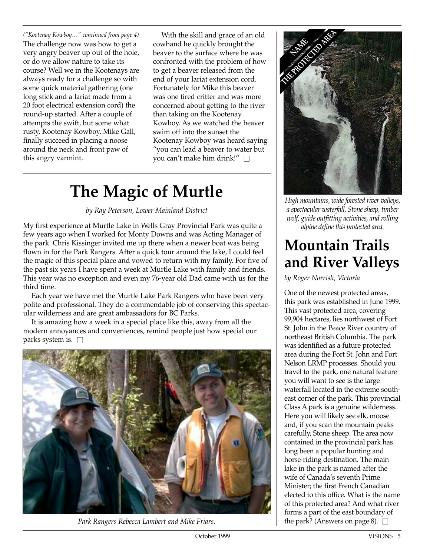*("Kootenay Kowboy…" continued from page 4)* The challenge now was how to get a very angry beaver up out of the hole, or do we allow nature to take its course? Well we in the Kootenays are always ready for a challenge so with some quick material gathering (one long stick and a lariat made from a 20 foot electrical extension cord) the round-up started. After a couple of attempts the swift, but some what rusty, Kootenay Kowboy, Mike Gall, finally succeed in placing a noose around the neck and front paw of this angry varmint.

With the skill and grace of an old cowhand he quickly brought the beaver to the surface where he was confronted with the problem of how to get a beaver released from the end of your lariat extension cord. Fortunately for Mike this beaver was one tired critter and was more concerned about getting to the river than taking on the Kootenay Kowboy. As we watched the beaver swim off into the sunset the Kootenay Kowboy was heard saying "you can lead a beaver to water but you can't make him drink!" □

# **The Magic of Murtle**

*by Ray Peterson, Lower Mainland District*

My first experience at Murtle Lake in Wells Gray Provincial Park was quite a few years ago when I worked for Monty Downs and was Acting Manager of the park. Chris Kissinger invited me up there when a newer boat was being flown in for the Park Rangers. After a quick tour around the lake, I could feel the magic of this special place and vowed to return with my family. For five of the past six years I have spent a week at Murtle Lake with family and friends. This year was no exception and even my 76-year old Dad came with us for the third time.

Each year we have met the Murtle Lake Park Rangers who have been very polite and professional. They do a commendable job of conserving this spectacular wilderness and are great ambassadors for BC Parks.

It is amazing how a week in a special place like this, away from all the modern annoyances and conveniences, remind people just how special our parks system is.  $\square$ 



*Park Rangers Rebecca Lambert and Mike Friars.*



*High mountains, wide forested river valleys, a spectacular waterfall, Stone sheep, timber wolf, guide outfitting activities, and rolling alpine define this protected area.*

## **Mountain Trails and River Valleys**

*by Roger Norrish, Victoria*

One of the newest protected areas, this park was established in June 1999. This vast protected area, covering 99,904 hectares, lies northwest of Fort St. John in the Peace River country of northeast British Columbia. The park was identified as a future protected area during the Fort St. John and Fort Nelson LRMP processes. Should you travel to the park, one natural feature you will want to see is the large waterfall located in the extreme southeast corner of the park. This provincial Class A park is a genuine wilderness. Here you will likely see elk, moose and, if you scan the mountain peaks carefully, Stone sheep. The area now contained in the provincial park has long been a popular hunting and horse-riding destination. The main lake in the park is named after the wife of Canada's seventh Prime Minister; the first French Canadian elected to this office. What is the name of this protected area? And what river forms a part of the east boundary of the park? (Answers on page 8).  $\Box$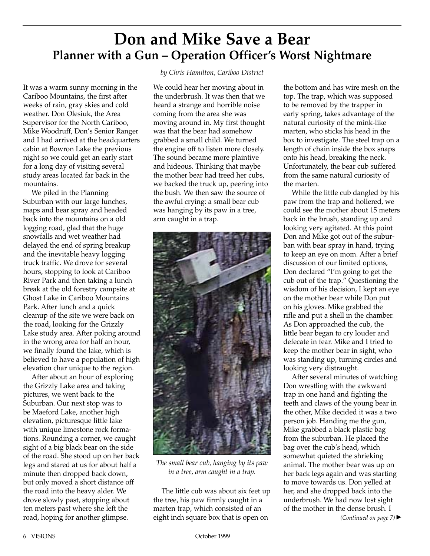### **Don and Mike Save a Bear Planner with a Gun – Operation Officer's Worst Nightmare**

It was a warm sunny morning in the Cariboo Mountains, the first after weeks of rain, gray skies and cold weather. Don Olesiuk, the Area Supervisor for the North Cariboo, Mike Woodruff, Don's Senior Ranger and I had arrived at the headquarters cabin at Bowron Lake the previous night so we could get an early start for a long day of visiting several study areas located far back in the mountains.

We piled in the Planning Suburban with our large lunches, maps and bear spray and headed back into the mountains on a old logging road, glad that the huge snowfalls and wet weather had delayed the end of spring breakup and the inevitable heavy logging truck traffic. We drove for several hours, stopping to look at Cariboo River Park and then taking a lunch break at the old forestry campsite at Ghost Lake in Cariboo Mountains Park. After lunch and a quick cleanup of the site we were back on the road, looking for the Grizzly Lake study area. After poking around in the wrong area for half an hour, we finally found the lake, which is believed to have a population of high elevation char unique to the region.

After about an hour of exploring the Grizzly Lake area and taking pictures, we went back to the Suburban. Our next stop was to be Maeford Lake, another high elevation, picturesque little lake with unique limestone rock formations. Rounding a corner, we caught sight of a big black bear on the side of the road. She stood up on her back legs and stared at us for about half a minute then dropped back down, but only moved a short distance off the road into the heavy alder. We drove slowly past, stopping about ten meters past where she left the road, hoping for another glimpse.

#### *by Chris Hamilton, Cariboo District*

We could hear her moving about in the underbrush. It was then that we heard a strange and horrible noise coming from the area she was moving around in. My first thought was that the bear had somehow grabbed a small child. We turned the engine off to listen more closely. The sound became more plaintive and hideous. Thinking that maybe the mother bear had treed her cubs, we backed the truck up, peering into the bush. We then saw the source of the awful crying: a small bear cub was hanging by its paw in a tree, arm caught in a trap.



*The small bear cub, hanging by its paw in a tree, arm caught in a trap.*

The little cub was about six feet up the tree, his paw firmly caught in a marten trap, which consisted of an eight inch square box that is open on

the bottom and has wire mesh on the top. The trap, which was supposed to be removed by the trapper in early spring, takes advantage of the natural curiosity of the mink-like marten, who sticks his head in the box to investigate. The steel trap on a length of chain inside the box snaps onto his head, breaking the neck. Unfortunately, the bear cub suffered from the same natural curiosity of the marten.

While the little cub dangled by his paw from the trap and hollered, we could see the mother about 15 meters back in the brush, standing up and looking very agitated. At this point Don and Mike got out of the suburban with bear spray in hand, trying to keep an eye on mom. After a brief discussion of our limited options, Don declared "I'm going to get the cub out of the trap." Questioning the wisdom of his decision, I kept an eye on the mother bear while Don put on his gloves. Mike grabbed the rifle and put a shell in the chamber. As Don approached the cub, the little bear began to cry louder and defecate in fear. Mike and I tried to keep the mother bear in sight, who was standing up, turning circles and looking very distraught.

After several minutes of watching Don wrestling with the awkward trap in one hand and fighting the teeth and claws of the young bear in the other, Mike decided it was a two person job. Handing me the gun, Mike grabbed a black plastic bag from the suburban. He placed the bag over the cub's head, which somewhat quieted the shrieking animal. The mother bear was up on her back legs again and was starting to move towards us. Don yelled at her, and she dropped back into the underbrush. We had now lost sight of the mother in the dense brush. I *(Continued on page 7)* ▲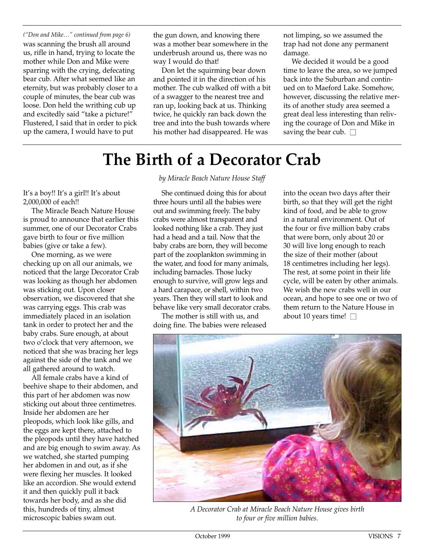*("Don and Mike…" continued from page 6)* was scanning the brush all around us, rifle in hand, trying to locate the mother while Don and Mike were sparring with the crying, defecating bear cub. After what seemed like an eternity, but was probably closer to a couple of minutes, the bear cub was loose. Don held the writhing cub up and excitedly said "take a picture!" Flustered, I said that in order to pick up the camera, I would have to put

the gun down, and knowing there was a mother bear somewhere in the underbrush around us, there was no way I would do that!

Don let the squirming bear down and pointed it in the direction of his mother. The cub walked off with a bit of a swagger to the nearest tree and ran up, looking back at us. Thinking twice, he quickly ran back down the tree and into the bush towards where his mother had disappeared. He was

not limping, so we assumed the trap had not done any permanent damage.

We decided it would be a good time to leave the area, so we jumped back into the Suburban and continued on to Maeford Lake. Somehow, however, discussing the relative merits of another study area seemed a great deal less interesting than reliving the courage of Don and Mike in saving the bear cub.  $\square$ 

# **The Birth of a Decorator Crab**

It's a boy!! It's a girl!! It's about 2,000,000 of each!!

The Miracle Beach Nature House is proud to announce that earlier this summer, one of our Decorator Crabs gave birth to four or five million babies (give or take a few).

One morning, as we were checking up on all our animals, we noticed that the large Decorator Crab was looking as though her abdomen was sticking out. Upon closer observation, we discovered that she was carrying eggs. This crab was immediately placed in an isolation tank in order to protect her and the baby crabs. Sure enough, at about two o'clock that very afternoon, we noticed that she was bracing her legs against the side of the tank and we all gathered around to watch.

All female crabs have a kind of beehive shape to their abdomen, and this part of her abdomen was now sticking out about three centimetres. Inside her abdomen are her pleopods, which look like gills, and the eggs are kept there, attached to the pleopods until they have hatched and are big enough to swim away. As we watched, she started pumping her abdomen in and out, as if she were flexing her muscles. It looked like an accordion. She would extend it and then quickly pull it back towards her body, and as she did this, hundreds of tiny, almost microscopic babies swam out.

*by Miracle Beach Nature House Staff*

She continued doing this for about three hours until all the babies were out and swimming freely. The baby crabs were almost transparent and looked nothing like a crab. They just had a head and a tail. Now that the baby crabs are born, they will become part of the zooplankton swimming in the water, and food for many animals, including barnacles. Those lucky enough to survive, will grow legs and a hard carapace, or shell, within two years. Then they will start to look and behave like very small decorator crabs.

The mother is still with us, and doing fine. The babies were released into the ocean two days after their birth, so that they will get the right kind of food, and be able to grow in a natural environment. Out of the four or five million baby crabs that were born, only about 20 or 30 will live long enough to reach the size of their mother (about 18 centimetres including her legs). The rest, at some point in their life cycle, will be eaten by other animals. We wish the new crabs well in our ocean, and hope to see one or two of them return to the Nature House in about 10 years time!  $\square$ 



*A Decorator Crab at Miracle Beach Nature House gives birth to four or five million babies.*